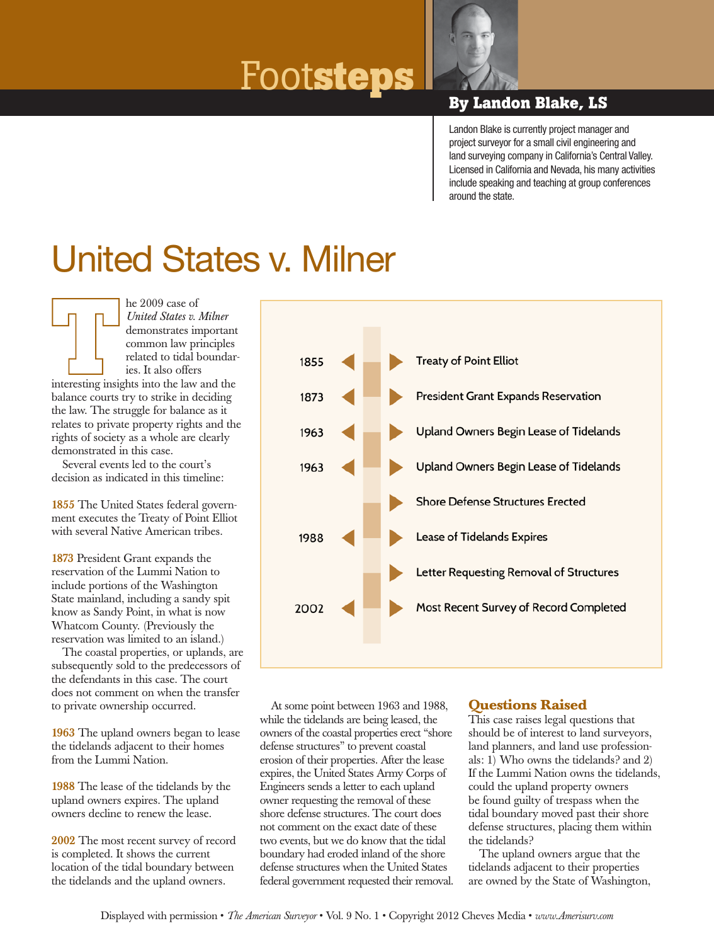# Foot**steps By Landon Blake, LS**



Landon Blake is currently project manager and project surveyor for a small civil engineering and land surveying company in California's Central Valley. Licensed in California and Nevada, his many activities include speaking and teaching at group conferences around the state.

## United States v. Milner

he 2009 case of *United States v. Milner* demonstrates important common law principles related to tidal boundaries. It also offers interesting insights into the law and the balance courts try to strike in deciding the law. The struggle for balance as it relates to private property rights and the rights of society as a whole are clearly demonstrated in this case.

Several events led to the court's decision as indicated in this timeline:

1855 The United States federal government executes the Treaty of Point Elliot with several Native American tribes.

1873 President Grant expands the reservation of the Lummi Nation to include portions of the Washington State mainland, including a sandy spit know as Sandy Point, in what is now Whatcom County. (Previously the reservation was limited to an island.)

The coastal properties, or uplands, are subsequently sold to the predecessors of the defendants in this case. The court does not comment on when the transfer to private ownership occurred.

1963 The upland owners began to lease the tidelands adjacent to their homes from the Lummi Nation.

1988 The lease of the tidelands by the upland owners expires. The upland owners decline to renew the lease.

2002 The most recent survey of record is completed. It shows the current location of the tidal boundary between the tidelands and the upland owners.



At some point between 1963 and 1988, while the tidelands are being leased, the owners of the coastal properties erect "shore defense structures" to prevent coastal erosion of their properties. After the lease expires, the United States Army Corps of Engineers sends a letter to each upland owner requesting the removal of these shore defense structures. The court does not comment on the exact date of these two events, but we do know that the tidal boundary had eroded inland of the shore defense structures when the United States federal government requested their removal.

#### **Questions Raised**

This case raises legal questions that should be of interest to land surveyors, land planners, and land use professionals:  $1)$  Who owns the tidelands? and 2) If the Lummi Nation owns the tidelands, could the upland property owners be found guilty of trespass when the tidal boundary moved past their shore defense structures, placing them within the tidelands?

The upland owners argue that the tidelands adjacent to their properties are owned by the State of Washington,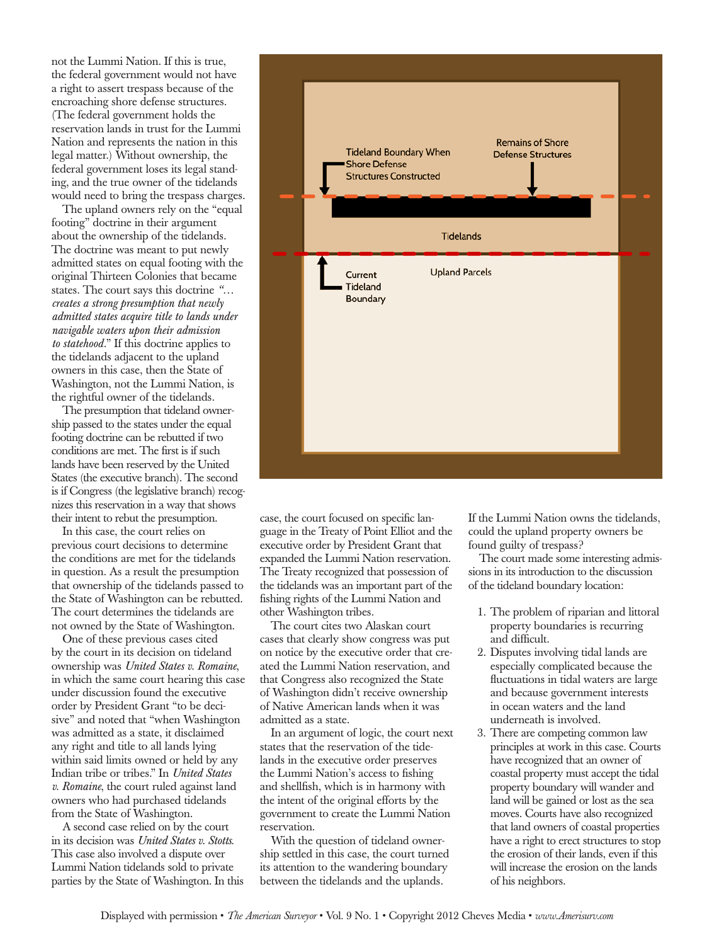not the Lummi Nation. If this is true, the federal government would not have a right to assert trespass because of the encroaching shore defense structures. (The federal government holds the reservation lands in trust for the Lummi Nation and represents the nation in this legal matter.) Without ownership, the federal government loses its legal standing, and the true owner of the tidelands would need to bring the trespass charges.

The upland owners rely on the "equal footing" doctrine in their argument about the ownership of the tidelands. The doctrine was meant to put newly admitted states on equal footing with the original Thirteen Colonies that became states. The court says this doctrine *"… creates a strong presumption that newly admitted states acquire title to lands under navigable waters upon their admission to statehood.*" If this doctrine applies to the tidelands adjacent to the upland owners in this case, then the State of Washington, not the Lummi Nation, is the rightful owner of the tidelands.

The presumption that tideland ownership passed to the states under the equal footing doctrine can be rebutted if two conditions are met. The first is if such lands have been reserved by the United States (the executive branch). The second is if Congress (the legislative branch) recognizes this reservation in a way that shows their intent to rebut the presumption.

In this case, the court relies on previous court decisions to determine the conditions are met for the tidelands in question. As a result the presumption that ownership of the tidelands passed to the State of Washington can be rebutted. The court determines the tidelands are not owned by the State of Washington.

One of these previous cases cited by the court in its decision on tideland ownership was *United States v. Romaine*, in which the same court hearing this case under discussion found the executive order by President Grant "to be decisive" and noted that "when Washington was admitted as a state, it disclaimed any right and title to all lands lying within said limits owned or held by any Indian tribe or tribes." In *United States v. Romaine*, the court ruled against land owners who had purchased tidelands from the State of Washington.

A second case relied on by the court in its decision was *United States v. Stotts*. This case also involved a dispute over Lummi Nation tidelands sold to private parties by the State of Washington. In this



case, the court focused on specific language in the Treaty of Point Elliot and the executive order by President Grant that expanded the Lummi Nation reservation. The Treaty recognized that possession of the tidelands was an important part of the fishing rights of the Lummi Nation and other Washington tribes.

The court cites two Alaskan court cases that clearly show congress was put on notice by the executive order that created the Lummi Nation reservation, and that Congress also recognized the State of Washington didn't receive ownership of Native American lands when it was admitted as a state.

In an argument of logic, the court next states that the reservation of the tidelands in the executive order preserves the Lummi Nation's access to fishing and shellfish, which is in harmony with the intent of the original efforts by the government to create the Lummi Nation reservation.

With the question of tideland ownership settled in this case, the court turned its attention to the wandering boundary between the tidelands and the uplands.

If the Lummi Nation owns the tidelands, could the upland property owners be found guilty of trespass?

The court made some interesting admissions in its introduction to the discussion of the tideland boundary location:

- 1. The problem of riparian and littoral property boundaries is recurring and difficult.
- 2. Disputes involving tidal lands are especially complicated because the fluctuations in tidal waters are large and because government interests in ocean waters and the land underneath is involved.
- 3. There are competing common law principles at work in this case. Courts have recognized that an owner of coastal property must accept the tidal property boundary will wander and land will be gained or lost as the sea moves. Courts have also recognized that land owners of coastal properties have a right to erect structures to stop the erosion of their lands, even if this will increase the erosion on the lands of his neighbors.